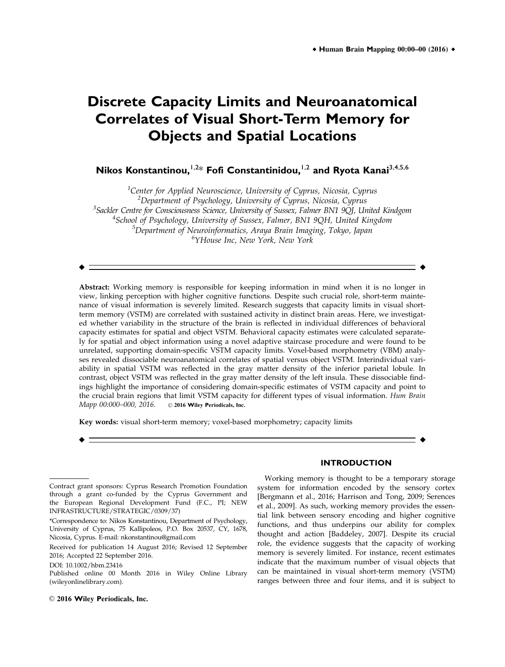# **Discrete Capacity Limits and Neuroanatomical Correlates of Visual Short-Term Memory for Objects and Spatial Locations**

**Nikos Konstantinou,**<sup>1,2\*</sup> **Fofi Constantinidou,**<sup>1,2</sup> and Ryota Kanai<sup>3,4,5,6</sup>

 $^1$ Center for Applied Neuroscience, University of Cyprus, Nicosia, Cyprus <sup>2</sup>Department of Psychology, University of Cyprus, Nicosia, Cyprus <sup>3</sup>Sackler Centre for Consciousness Science, University of Sussex, Falmer BN1 9QJ, United Kindgom 4 School of Psychology, University of Sussex, Falmer, BN1 9QH, United Kingdom  $^5$ Department of Neuroinformatics, Araya Brain Imaging, Tokyo, Japan 6 YHouse Inc, New York, New York

r r

Abstract: Working memory is responsible for keeping information in mind when it is no longer in view, linking perception with higher cognitive functions. Despite such crucial role, short-term maintenance of visual information is severely limited. Research suggests that capacity limits in visual shortterm memory (VSTM) are correlated with sustained activity in distinct brain areas. Here, we investigated whether variability in the structure of the brain is reflected in individual differences of behavioral capacity estimates for spatial and object VSTM. Behavioral capacity estimates were calculated separately for spatial and object information using a novel adaptive staircase procedure and were found to be unrelated, supporting domain-specific VSTM capacity limits. Voxel-based morphometry (VBM) analyses revealed dissociable neuroanatomical correlates of spatial versus object VSTM. Interindividual variability in spatial VSTM was reflected in the gray matter density of the inferior parietal lobule. In contrast, object VSTM was reflected in the gray matter density of the left insula. These dissociable findings highlight the importance of considering domain-specific estimates of VSTM capacity and point to the crucial brain regions that limit VSTM capacity for different types of visual information. Hum Brain Mapp  $00:000-000$ , 2016.  $\circ$  2016 Wilev Periodicals, Inc.  $\odot$  2016 Wiley Periodicals, Inc.

r r

Key words: visual short-term memory; voxel-based morphometry; capacity limits

Working memory is thought to be a temporary storage system for information encoded by the sensory cortex [Bergmann et al., 2016; Harrison and Tong, 2009; Serences et al., 2009]. As such, working memory provides the essential link between sensory encoding and higher cognitive functions, and thus underpins our ability for complex thought and action [Baddeley, 2007]. Despite its crucial role, the evidence suggests that the capacity of working memory is severely limited. For instance, recent estimates indicate that the maximum number of visual objects that can be maintained in visual short-term memory (VSTM) ranges between three and four items, and it is subject to

**INTRODUCTION**

Contract grant sponsors: Cyprus Research Promotion Foundation through a grant co-funded by the Cyprus Government and the European Regional Development Fund (F.C., PI; NEW INFRASTRUCTURE/STRATEGIC/0309/37)

<sup>\*</sup>Correspondence to: Nikos Konstantinou, Department of Psychology, University of Cyprus, 75 Kallipoleos, P.O. Box 20537, CY, 1678, Nicosia, Cyprus. E-mail: nkonstantinou@gmail.com

Received for publication 14 August 2016; Revised 12 September 2016; Accepted 22 September 2016.

DOI: 10.1002/hbm.23416

Published online 00 Month 2016 in Wiley Online Library (wileyonlinelibrary.com).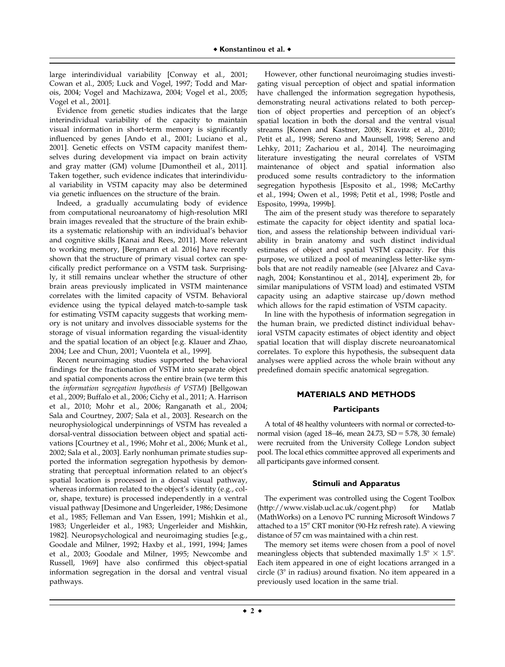large interindividual variability [Conway et al., 2001; Cowan et al., 2005; Luck and Vogel, 1997; Todd and Marois, 2004; Vogel and Machizawa, 2004; Vogel et al., 2005; Vogel et al., 2001].

Evidence from genetic studies indicates that the large interindividual variability of the capacity to maintain visual information in short-term memory is significantly influenced by genes [Ando et al., 2001; Luciano et al., 2001]. Genetic effects on VSTM capacity manifest themselves during development via impact on brain activity and gray matter (GM) volume [Dumontheil et al., 2011]. Taken together, such evidence indicates that interindividual variability in VSTM capacity may also be determined via genetic influences on the structure of the brain.

Indeed, a gradually accumulating body of evidence from computational neuroanatomy of high-resolution MRI brain images revealed that the structure of the brain exhibits a systematic relationship with an individual's behavior and cognitive skills [Kanai and Rees, 2011]. More relevant to working memory, [Bergmann et al. 2016] have recently shown that the structure of primary visual cortex can specifically predict performance on a VSTM task. Surprisingly, it still remains unclear whether the structure of other brain areas previously implicated in VSTM maintenance correlates with the limited capacity of VSTM. Behavioral evidence using the typical delayed match-to-sample task for estimating VSTM capacity suggests that working memory is not unitary and involves dissociable systems for the storage of visual information regarding the visual-identity and the spatial location of an object [e.g. Klauer and Zhao, 2004; Lee and Chun, 2001; Vuontela et al., 1999].

Recent neuroimaging studies supported the behavioral findings for the fractionation of VSTM into separate object and spatial components across the entire brain (we term this the information segregation hypothesis of VSTM) [Bellgowan et al., 2009; Buffalo et al., 2006; Cichy et al., 2011; A. Harrison et al., 2010; Mohr et al., 2006; Ranganath et al., 2004; Sala and Courtney, 2007; Sala et al., 2003]. Research on the neurophysiological underpinnings of VSTM has revealed a dorsal-ventral dissociation between object and spatial activations [Courtney et al., 1996; Mohr et al., 2006; Munk et al., 2002; Sala et al., 2003]. Early nonhuman primate studies supported the information segregation hypothesis by demonstrating that perceptual information related to an object's spatial location is processed in a dorsal visual pathway, whereas information related to the object's identity (e.g., color, shape, texture) is processed independently in a ventral visual pathway [Desimone and Ungerleider, 1986; Desimone et al., 1985; Felleman and Van Essen, 1991; Mishkin et al., 1983; Ungerleider et al., 1983; Ungerleider and Mishkin, 1982]. Neuropsychological and neuroimaging studies [e.g., Goodale and Milner, 1992; Haxby et al., 1991, 1994; James et al., 2003; Goodale and Milner, 1995; Newcombe and Russell, 1969] have also confirmed this object-spatial information segregation in the dorsal and ventral visual pathways.

However, other functional neuroimaging studies investigating visual perception of object and spatial information have challenged the information segregation hypothesis, demonstrating neural activations related to both perception of object properties and perception of an object's spatial location in both the dorsal and the ventral visual streams [Konen and Kastner, 2008; Kravitz et al., 2010; Petit et al., 1998; Sereno and Maunsell, 1998; Sereno and Lehky, 2011; Zachariou et al., 2014]. The neuroimaging literature investigating the neural correlates of VSTM maintenance of object and spatial information also produced some results contradictory to the information segregation hypothesis [Esposito et al., 1998; McCarthy et al., 1994; Owen et al., 1998; Petit et al., 1998; Postle and Esposito, 1999a, 1999b].

The aim of the present study was therefore to separately estimate the capacity for object identity and spatial location, and assess the relationship between individual variability in brain anatomy and such distinct individual estimates of object and spatial VSTM capacity. For this purpose, we utilized a pool of meaningless letter-like symbols that are not readily nameable (see [Alvarez and Cavanagh, 2004; Konstantinou et al., 2014], experiment 2b, for similar manipulations of VSTM load) and estimated VSTM capacity using an adaptive staircase up/down method which allows for the rapid estimation of VSTM capacity.

In line with the hypothesis of information segregation in the human brain, we predicted distinct individual behavioral VSTM capacity estimates of object identity and object spatial location that will display discrete neuroanatomical correlates. To explore this hypothesis, the subsequent data analyses were applied across the whole brain without any predefined domain specific anatomical segregation.

# **MATERIALS AND METHODS**

### **Participants**

A total of 48 healthy volunteers with normal or corrected-tonormal vision (aged  $18-46$ , mean  $24.73$ ,  $SD = 5.78$ ,  $30$  female) were recruited from the University College London subject pool. The local ethics committee approved all experiments and all participants gave informed consent.

### **Stimuli and Apparatus**

The experiment was controlled using the Cogent Toolbox (<http://www.vislab.ucl.ac.uk/cogent.php>) for Matlab (MathWorks) on a Lenovo PC running Microsoft Windows 7 attached to a 15" CRT monitor (90-Hz refresh rate). A viewing distance of 57 cm was maintained with a chin rest.

The memory set items were chosen from a pool of novel meaningless objects that subtended maximally  $1.5^{\circ} \times 1.5^{\circ}$ . Each item appeared in one of eight locations arranged in a circle  $(3^{\circ}$  in radius) around fixation. No item appeared in a previously used location in the same trial.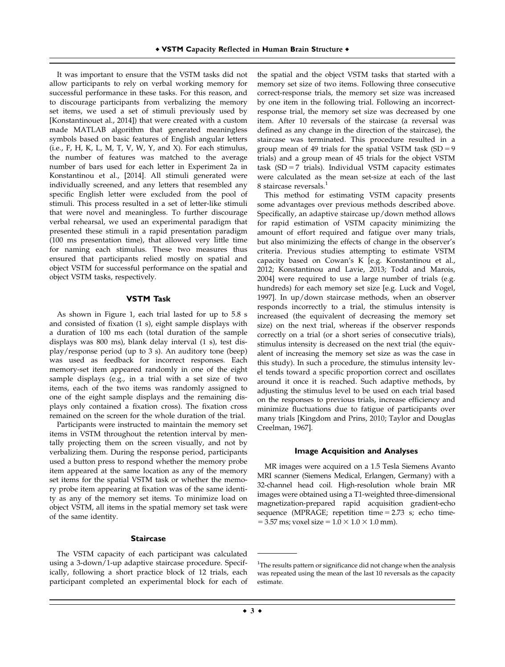It was important to ensure that the VSTM tasks did not allow participants to rely on verbal working memory for successful performance in these tasks. For this reason, and to discourage participants from verbalizing the memory set items, we used a set of stimuli previously used by [Konstantinouet al., 2014]) that were created with a custom made MATLAB algorithm that generated meaningless symbols based on basic features of English angular letters (i.e., F, H, K, L, M, T, V, W, Y, and X). For each stimulus, the number of features was matched to the average number of bars used for each letter in Experiment 2a in Konstantinou et al., [2014]. All stimuli generated were individually screened, and any letters that resembled any specific English letter were excluded from the pool of stimuli. This process resulted in a set of letter-like stimuli that were novel and meaningless. To further discourage verbal rehearsal, we used an experimental paradigm that presented these stimuli in a rapid presentation paradigm (100 ms presentation time), that allowed very little time for naming each stimulus. These two measures thus ensured that participants relied mostly on spatial and object VSTM for successful performance on the spatial and object VSTM tasks, respectively.

#### **VSTM Task**

As shown in Figure 1, each trial lasted for up to 5.8 s and consisted of fixation (1 s), eight sample displays with a duration of 100 ms each (total duration of the sample displays was 800 ms), blank delay interval (1 s), test display/response period (up to 3 s). An auditory tone (beep) was used as feedback for incorrect responses. Each memory-set item appeared randomly in one of the eight sample displays (e.g., in a trial with a set size of two items, each of the two items was randomly assigned to one of the eight sample displays and the remaining displays only contained a fixation cross). The fixation cross remained on the screen for the whole duration of the trial.

Participants were instructed to maintain the memory set items in VSTM throughout the retention interval by mentally projecting them on the screen visually, and not by verbalizing them. During the response period, participants used a button press to respond whether the memory probe item appeared at the same location as any of the memory set items for the spatial VSTM task or whether the memory probe item appearing at fixation was of the same identity as any of the memory set items. To minimize load on object VSTM, all items in the spatial memory set task were of the same identity.

#### **Staircase**

The VSTM capacity of each participant was calculated using a 3-down/1-up adaptive staircase procedure. Specifically, following a short practice block of 12 trials, each participant completed an experimental block for each of the spatial and the object VSTM tasks that started with a memory set size of two items. Following three consecutive correct-response trials, the memory set size was increased by one item in the following trial. Following an incorrectresponse trial, the memory set size was decreased by one item. After 10 reversals of the staircase (a reversal was defined as any change in the direction of the staircase), the staircase was terminated. This procedure resulted in a group mean of 49 trials for the spatial VSTM task  $(SD = 9)$ trials) and a group mean of 45 trials for the object VSTM task (SD = 7 trials). Individual VSTM capacity estimates were calculated as the mean set-size at each of the last 8 staircase reversals.<sup>1</sup>

This method for estimating VSTM capacity presents some advantages over previous methods described above. Specifically, an adaptive staircase up/down method allows for rapid estimation of VSTM capacity minimizing the amount of effort required and fatigue over many trials, but also minimizing the effects of change in the observer's criteria. Previous studies attempting to estimate VSTM capacity based on Cowan's K [e.g. Konstantinou et al., 2012; Konstantinou and Lavie, 2013; Todd and Marois, 2004] were required to use a large number of trials (e.g. hundreds) for each memory set size [e.g. Luck and Vogel, 1997]. In up/down staircase methods, when an observer responds incorrectly to a trial, the stimulus intensity is increased (the equivalent of decreasing the memory set size) on the next trial, whereas if the observer responds correctly on a trial (or a short series of consecutive trials), stimulus intensity is decreased on the next trial (the equivalent of increasing the memory set size as was the case in this study). In such a procedure, the stimulus intensity level tends toward a specific proportion correct and oscillates around it once it is reached. Such adaptive methods, by adjusting the stimulus level to be used on each trial based on the responses to previous trials, increase efficiency and minimize fluctuations due to fatigue of participants over many trials [Kingdom and Prins, 2010; Taylor and Douglas Creelman, 1967].

#### **Image Acquisition and Analyses**

MR images were acquired on a 1.5 Tesla Siemens Avanto MRI scanner (Siemens Medical, Erlangen, Germany) with a 32-channel head coil. High-resolution whole brain MR images were obtained using a T1-weighted three-dimensional magnetization-prepared rapid acquisition gradient-echo sequence (MPRAGE; repetition time  $= 2.73$  s; echo time- $= 3.57$  ms; voxel size  $= 1.0 \times 1.0 \times 1.0$  mm).

<sup>&</sup>lt;sup>1</sup>The results pattern or significance did not change when the analysis was repeated using the mean of the last 10 reversals as the capacity estimate.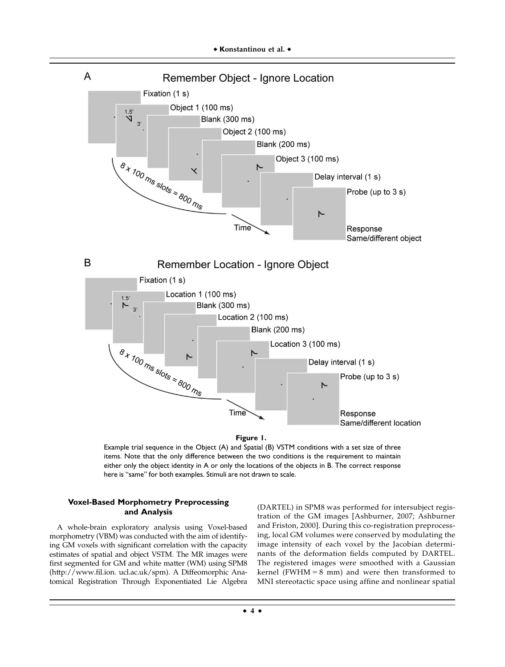

**Figure 1.**

Example trial sequence in the Object (A) and Spatial (B) VSTM conditions with a set size of three items. Note that the only difference between the two conditions is the requirement to maintain either only the object identity in A or only the locations of the objects in B. The correct response here is "same" for both examples. Stimuli are not drawn to scale.

# **Voxel-Based Morphometry Preprocessing and Analysis**

A whole-brain exploratory analysis using Voxel-based morphometry (VBM) was conducted with the aim of identifying GM voxels with significant correlation with the capacity estimates of spatial and object VSTM. The MR images were first segmented for GM and white matter (WM) using SPM8 ([http://www.fil.ion](http://www.fil.io). ucl.ac.uk/spm). A Diffeomorphic Anatomical Registration Through Exponentiated Lie Algebra

(DARTEL) in SPM8 was performed for intersubject registration of the GM images [Ashburner, 2007; Ashburner and Friston, 2000]. During this co-registration preprocessing, local GM volumes were conserved by modulating the image intensity of each voxel by the Jacobian determinants of the deformation fields computed by DARTEL. The registered images were smoothed with a Gaussian kernel (FWHM =  $8 \text{ mm}$ ) and were then transformed to MNI stereotactic space using affine and nonlinear spatial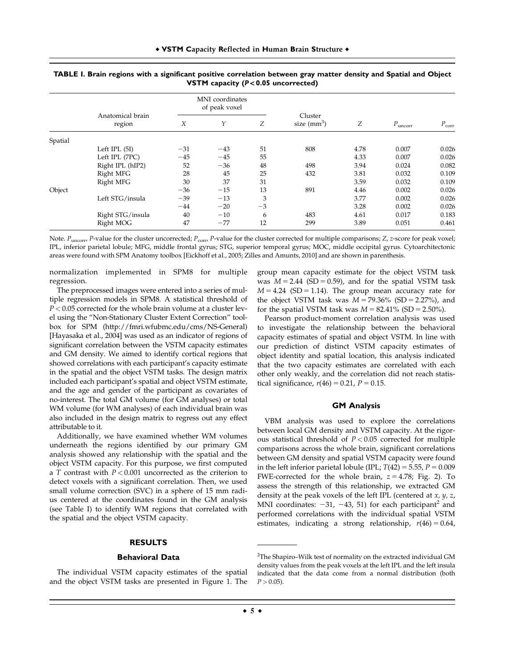|         |                            | MNI coordinates<br>of peak voxel |       |      |                         |      |                     |                |
|---------|----------------------------|----------------------------------|-------|------|-------------------------|------|---------------------|----------------|
|         | Anatomical brain<br>region | X                                | Υ     | Ζ    | Cluster<br>size $(mm3)$ | Ζ    | $P_{\text{uncorr}}$ | $P_{\rm corr}$ |
| Spatial |                            |                                  |       |      |                         |      |                     |                |
|         | Left IPL $(5I)$            | $-31$                            | $-43$ | 51   | 808                     | 4.78 | 0.007               | 0.026          |
|         | Left IPL (7PC)             | $-45$                            | $-45$ | 55   |                         | 4.33 | 0.007               | 0.026          |
|         | Right IPL (hIP2)           | 52                               | $-36$ | 48   | 498                     | 3.94 | 0.024               | 0.082          |
|         | Right MFG                  | 28                               | 45    | 25   | 432                     | 3.81 | 0.032               | 0.109          |
|         | Right MFG                  | 30                               | 37    | 31   |                         | 3.59 | 0.032               | 0.109          |
| Object  |                            | $-36$                            | $-15$ | 13   | 891                     | 4.46 | 0.002               | 0.026          |
|         | Left STG/insula            | $-39$                            | $-13$ | 3    |                         | 3.77 | 0.002               | 0.026          |
|         |                            | $-44$                            | $-20$ | $-3$ |                         | 3.28 | 0.002               | 0.026          |
|         | Right STG/insula           | 40                               | $-10$ | 6    | 483                     | 4.61 | 0.017               | 0.183          |
|         | Right MOG                  | 47                               | $-77$ | 12   | 299                     | 3.89 | 0.051               | 0.461          |

| TABLE I. Brain regions with a significant positive correlation between gray matter density and Spatial and Object |                                                |  |  |
|-------------------------------------------------------------------------------------------------------------------|------------------------------------------------|--|--|
|                                                                                                                   | <b>VSTM</b> capacity ( $P < 0.05$ uncorrected) |  |  |

Note.  $P_{\text{uncorr}}$ , P-value for the cluster uncorrected;  $P_{\text{corr}}$ , P-value for the cluster corrected for multiple comparisons; Z, z-score for peak voxel; IPL, inferior parietal lobule; MFG, middle frontal gyrus; STG, superior temporal gyrus; MOC, middle occipital gyrus. Cytoarchitectonic areas were found with SPM Anatomy toolbox [Eickhoff et al., 2005; Zilles and Amunts, 2010] and are shown in parenthesis.

normalization implemented in SPM8 for multiple regression.

The preprocessed images were entered into a series of multiple regression models in SPM8. A statistical threshold of  $P < 0.05$  corrected for the whole brain volume at a cluster level using the "Non-Stationary Cluster Extent Correction" toolbox for SPM (<http://fmri.wfubmc.edu/cms/NS-General>) [Hayasaka et al., 2004] was used as an indicator of regions of significant correlation between the VSTM capacity estimates and GM density. We aimed to identify cortical regions that showed correlations with each participant's capacity estimate in the spatial and the object VSTM tasks. The design matrix included each participant's spatial and object VSTM estimate, and the age and gender of the participant as covariates of no-interest. The total GM volume (for GM analyses) or total WM volume (for WM analyses) of each individual brain was also included in the design matrix to regress out any effect attributable to it.

Additionally, we have examined whether WM volumes underneath the regions identified by our primary GM analysis showed any relationship with the spatial and the object VSTM capacity. For this purpose, we first computed a T contrast with  $P < 0.001$  uncorrected as the criterion to detect voxels with a significant correlation. Then, we used small volume correction (SVC) in a sphere of 15 mm radius centered at the coordinates found in the GM analysis (see Table I) to identify WM regions that correlated with the spatial and the object VSTM capacity.

## **RESULTS**

#### **Behavioral Data**

The individual VSTM capacity estimates of the spatial and the object VSTM tasks are presented in Figure 1. The group mean capacity estimate for the object VSTM task was  $M = 2.44$  (SD = 0.59), and for the spatial VSTM task  $M = 4.24$  (SD = 1.14). The group mean accuracy rate for the object VSTM task was  $M = 79.36\%$  (SD = 2.27%), and for the spatial VSTM task was  $M = 82.41\%$  (SD = 2.50%).

Pearson product-moment correlation analysis was used to investigate the relationship between the behavioral capacity estimates of spatial and object VSTM. In line with our prediction of distinct VSTM capacity estimates of object identity and spatial location, this analysis indicated that the two capacity estimates are correlated with each other only weakly, and the correlation did not reach statistical significance,  $r(46) = 0.21$ ,  $P = 0.15$ .

#### **GM Analysis**

VBM analysis was used to explore the correlations between local GM density and VSTM capacity. At the rigorous statistical threshold of  $P < 0.05$  corrected for multiple comparisons across the whole brain, significant correlations between GM density and spatial VSTM capacity were found in the left inferior parietal lobule (IPL;  $T(42) = 5.55$ ,  $P = 0.009$ FWE-corrected for the whole brain,  $z = 4.78$ ; Fig. 2). To assess the strength of this relationship, we extracted GM density at the peak voxels of the left IPL (centered at  $x$ ,  $y$ ,  $z$ , MNI coordinates:  $-31$ ,  $-43$ , 51) for each participant<sup>2</sup> and performed correlations with the individual spatial VSTM estimates, indicating a strong relationship,  $r(46) = 0.64$ ,

 $^{2}$ The Shapiro–Wilk test of normality on the extracted individual GM density values from the peak voxels at the left IPL and the left insula indicated that the data come from a normal distribution (both  $P > 0.05$ ).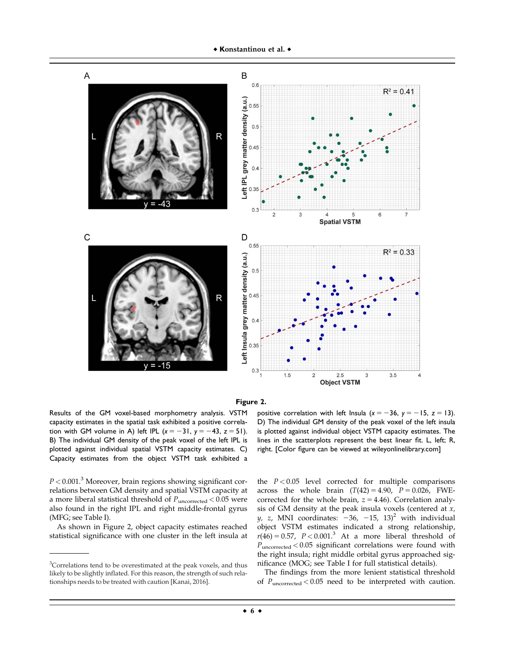



Results of the GM voxel-based morphometry analysis. VSTM capacity estimates in the spatial task exhibited a positive correlation with GM volume in A) left IPL  $(x = -31, y = -43, z = 51)$ . B) The individual GM density of the peak voxel of the left IPL is plotted against individual spatial VSTM capacity estimates. C) Capacity estimates from the object VSTM task exhibited a

positive correlation with left Insula  $(x = -36, y = -15, z = 13)$ . D) The individual GM density of the peak voxel of the left insula is plotted against individual object VSTM capacity estimates. The lines in the scatterplots represent the best linear fit. L, left; R, right. [Color figure can be viewed at [wileyonlinelibrary.com\]](http://wileyonlinelibrary.com)

 $P < 0.001$ .<sup>3</sup> Moreover, brain regions showing significant correlations between GM density and spatial VSTM capacity at a more liberal statistical threshold of  $P_{\text{uncorrected}} < 0.05$  were also found in the right IPL and right middle-frontal gyrus (MFG; see Table I).

As shown in Figure 2, object capacity estimates reached statistical significance with one cluster in the left insula at the  $P < 0.05$  level corrected for multiple comparisons across the whole brain  $(T(42) = 4.90, P = 0.026, FWE$ corrected for the whole brain,  $z = 4.46$ ). Correlation analysis of GM density at the peak insula voxels (centered at x,  $y, z$ , MNI coordinates:  $-36, -15, 13$ <sup>2</sup> with individual object VSTM estimates indicated a strong relationship,  $r(46) = 0.57$ ,  $P < 0.001$ <sup>3</sup> At a more liberal threshold of  $P_{\text{uncorrected}} < 0.05$  significant correlations were found with the right insula; right middle orbital gyrus approached significance (MOG; see Table I for full statistical details).

The findings from the more lenient statistical threshold of  $P_{\text{uncorrected}}$  < 0.05 need to be interpreted with caution.

<sup>&</sup>lt;sup>3</sup>Correlations tend to be overestimated at the peak voxels, and thus likely to be slightly inflated. For this reason, the strength of such relationships needs to be treated with caution [Kanai, 2016].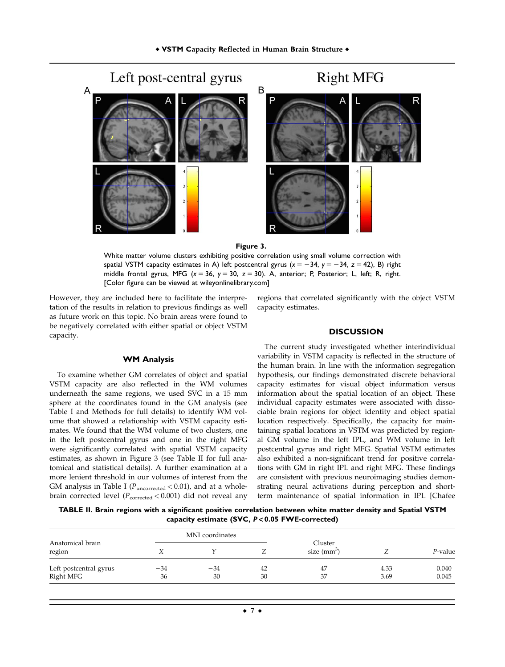

#### **Figure 3.**

White matter volume clusters exhibiting positive correlation using small volume correction with spatial VSTM capacity estimates in A) left postcentral gyrus  $(x = -34, y = -34, z = 42)$ , B) right middle frontal gyrus, MFG (*x* 5 36, *y* 5 30, *z* 5 30). A, anterior; P, Posterior; L, left; R, right. [Color figure can be viewed at [wileyonlinelibrary.com\]](http://wileyonlinelibrary.com)

However, they are included here to facilitate the interpretation of the results in relation to previous findings as well as future work on this topic. No brain areas were found to be negatively correlated with either spatial or object VSTM capacity.

#### **WM Analysis**

To examine whether GM correlates of object and spatial VSTM capacity are also reflected in the WM volumes underneath the same regions, we used SVC in a 15 mm sphere at the coordinates found in the GM analysis (see Table I and Methods for full details) to identify WM volume that showed a relationship with VSTM capacity estimates. We found that the WM volume of two clusters, one in the left postcentral gyrus and one in the right MFG were significantly correlated with spatial VSTM capacity estimates, as shown in Figure 3 (see Table II for full anatomical and statistical details). A further examination at a more lenient threshold in our volumes of interest from the GM analysis in Table I ( $P_{\text{uncorrected}}$  < 0.01), and at a wholebrain corrected level ( $P_{\rm corrected}$  < 0.001) did not reveal any

regions that correlated significantly with the object VSTM capacity estimates.

### **DISCUSSION**

The current study investigated whether interindividual variability in VSTM capacity is reflected in the structure of the human brain. In line with the information segregation hypothesis, our findings demonstrated discrete behavioral capacity estimates for visual object information versus information about the spatial location of an object. These individual capacity estimates were associated with dissociable brain regions for object identity and object spatial location respectively. Specifically, the capacity for maintaining spatial locations in VSTM was predicted by regional GM volume in the left IPL, and WM volume in left postcentral gyrus and right MFG. Spatial VSTM estimates also exhibited a non-significant trend for positive correlations with GM in right IPL and right MFG. These findings are consistent with previous neuroimaging studies demonstrating neural activations during perception and shortterm maintenance of spatial information in IPL [Chafee

**TABLE II. Brain regions with a significant positive correlation between white matter density and Spatial VSTM capacity estimate (SVC,** P < **0.05 FWE-corrected)**

|                                     |             | MNI coordinates |          |                         |              |                |
|-------------------------------------|-------------|-----------------|----------|-------------------------|--------------|----------------|
| Anatomical brain<br>region          |             |                 |          | Cluster<br>size $(mm3)$ |              | $P$ -value     |
| Left postcentral gyrus<br>Right MFG | $-34$<br>36 | $-34$<br>30     | 42<br>30 | 47<br>37                | 4.33<br>3.69 | 0.040<br>0.045 |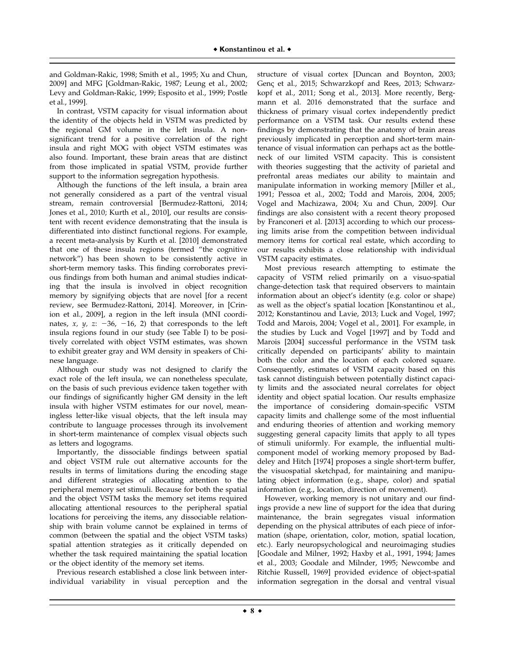and Goldman-Rakic, 1998; Smith et al., 1995; Xu and Chun, 2009] and MFG [Goldman-Rakic, 1987; Leung et al., 2002; Levy and Goldman-Rakic, 1999; Esposito et al., 1999; Postle et al., 1999].

In contrast, VSTM capacity for visual information about the identity of the objects held in VSTM was predicted by the regional GM volume in the left insula. A nonsignificant trend for a positive correlation of the right insula and right MOG with object VSTM estimates was also found. Important, these brain areas that are distinct from those implicated in spatial VSTM, provide further support to the information segregation hypothesis.

Although the functions of the left insula, a brain area not generally considered as a part of the ventral visual stream, remain controversial [Bermudez-Rattoni, 2014; Jones et al., 2010; Kurth et al., 2010], our results are consistent with recent evidence demonstrating that the insula is differentiated into distinct functional regions. For example, a recent meta-analysis by Kurth et al. [2010] demonstrated that one of these insula regions (termed "the cognitive network") has been shown to be consistently active in short-term memory tasks. This finding corroborates previous findings from both human and animal studies indicating that the insula is involved in object recognition memory by signifying objects that are novel [for a recent review, see Bermudez-Rattoni, 2014]. Moreover, in [Crinion et al., 2009], a region in the left insula (MNI coordinates,  $x$ ,  $y$ ,  $z$ : -36, -16, 2) that corresponds to the left insula regions found in our study (see Table I) to be positively correlated with object VSTM estimates, was shown to exhibit greater gray and WM density in speakers of Chinese language.

Although our study was not designed to clarify the exact role of the left insula, we can nonetheless speculate, on the basis of such previous evidence taken together with our findings of significantly higher GM density in the left insula with higher VSTM estimates for our novel, meaningless letter-like visual objects, that the left insula may contribute to language processes through its involvement in short-term maintenance of complex visual objects such as letters and logograms.

Importantly, the dissociable findings between spatial and object VSTM rule out alternative accounts for the results in terms of limitations during the encoding stage and different strategies of allocating attention to the peripheral memory set stimuli. Because for both the spatial and the object VSTM tasks the memory set items required allocating attentional resources to the peripheral spatial locations for perceiving the items, any dissociable relationship with brain volume cannot be explained in terms of common (between the spatial and the object VSTM tasks) spatial attention strategies as it critically depended on whether the task required maintaining the spatial location or the object identity of the memory set items.

Previous research established a close link between interindividual variability in visual perception and the structure of visual cortex [Duncan and Boynton, 2003; Genç et al., 2015; Schwarzkopf and Rees, 2013; Schwarzkopf et al., 2011; Song et al., 2013]. More recently, Bergmann et al. 2016 demonstrated that the surface and thickness of primary visual cortex independently predict performance on a VSTM task. Our results extend these findings by demonstrating that the anatomy of brain areas previously implicated in perception and short-term maintenance of visual information can perhaps act as the bottleneck of our limited VSTM capacity. This is consistent with theories suggesting that the activity of parietal and prefrontal areas mediates our ability to maintain and manipulate information in working memory [Miller et al., 1991; Pessoa et al., 2002; Todd and Marois, 2004, 2005; Vogel and Machizawa, 2004; Xu and Chun, 2009]. Our findings are also consistent with a recent theory proposed by Franconeri et al. [2013] according to which our processing limits arise from the competition between individual memory items for cortical real estate, which according to our results exhibits a close relationship with individual VSTM capacity estimates.

Most previous research attempting to estimate the capacity of VSTM relied primarily on a visuo-spatial change-detection task that required observers to maintain information about an object's identity (e.g. color or shape) as well as the object's spatial location [Konstantinou et al., 2012; Konstantinou and Lavie, 2013; Luck and Vogel, 1997; Todd and Marois, 2004; Vogel et al., 2001]. For example, in the studies by Luck and Vogel [1997] and by Todd and Marois [2004] successful performance in the VSTM task critically depended on participants' ability to maintain both the color and the location of each colored square. Consequently, estimates of VSTM capacity based on this task cannot distinguish between potentially distinct capacity limits and the associated neural correlates for object identity and object spatial location. Our results emphasize the importance of considering domain-specific VSTM capacity limits and challenge some of the most influential and enduring theories of attention and working memory suggesting general capacity limits that apply to all types of stimuli uniformly. For example, the influential multicomponent model of working memory proposed by Baddeley and Hitch [1974] proposes a single short-term buffer, the visuospatial sketchpad, for maintaining and manipulating object information (e.g., shape, color) and spatial information (e.g., location, direction of movement).

However, working memory is not unitary and our findings provide a new line of support for the idea that during maintenance, the brain segregates visual information depending on the physical attributes of each piece of information (shape, orientation, color, motion, spatial location, etc.). Early neuropsychological and neuroimaging studies [Goodale and Milner, 1992; Haxby et al., 1991, 1994; James et al., 2003; Goodale and Milnder, 1995; Newcombe and Ritchie Russell, 1969] provided evidence of object-spatial information segregation in the dorsal and ventral visual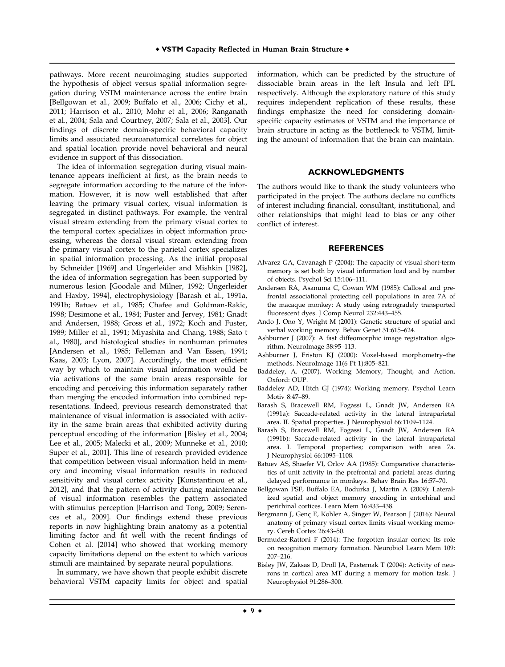pathways. More recent neuroimaging studies supported the hypothesis of object versus spatial information segregation during VSTM maintenance across the entire brain [Bellgowan et al., 2009; Buffalo et al., 2006; Cichy et al., 2011; Harrison et al., 2010; Mohr et al., 2006; Ranganath et al., 2004; Sala and Courtney, 2007; Sala et al., 2003]. Our findings of discrete domain-specific behavioral capacity limits and associated neuroanatomical correlates for object and spatial location provide novel behavioral and neural evidence in support of this dissociation.

The idea of information segregation during visual maintenance appears inefficient at first, as the brain needs to segregate information according to the nature of the information. However, it is now well established that after leaving the primary visual cortex, visual information is segregated in distinct pathways. For example, the ventral visual stream extending from the primary visual cortex to the temporal cortex specializes in object information processing, whereas the dorsal visual stream extending from the primary visual cortex to the parietal cortex specializes in spatial information processing. As the initial proposal by Schneider [1969] and Ungerleider and Mishkin [1982], the idea of information segregation has been supported by numerous lesion [Goodale and Milner, 1992; Ungerleider and Haxby, 1994], electrophysiology [Barash et al., 1991a, 1991b; Batuev et al., 1985; Chafee and Goldman-Rakic, 1998; Desimone et al., 1984; Fuster and Jervey, 1981; Gnadt and Andersen, 1988; Gross et al., 1972; Koch and Fuster, 1989; Miller et al., 1991; Miyashita and Chang, 1988; Sato t al., 1980], and histological studies in nonhuman primates [Andersen et al., 1985; Felleman and Van Essen, 1991; Kaas, 2003; Lyon, 2007]. Accordingly, the most efficient way by which to maintain visual information would be via activations of the same brain areas responsible for encoding and perceiving this information separately rather than merging the encoded information into combined representations. Indeed, previous research demonstrated that maintenance of visual information is associated with activity in the same brain areas that exhibited activity during perceptual encoding of the information [Bisley et al., 2004; Lee et al., 2005; Malecki et al., 2009; Munneke et al., 2010; Super et al., 2001]. This line of research provided evidence that competition between visual information held in memory and incoming visual information results in reduced sensitivity and visual cortex activity [Konstantinou et al., 2012], and that the pattern of activity during maintenance of visual information resembles the pattern associated with stimulus perception [Harrison and Tong, 2009; Serences et al., 2009]. Our findings extend these previous reports in now highlighting brain anatomy as a potential limiting factor and fit well with the recent findings of Cohen et al. [2014] who showed that working memory capacity limitations depend on the extent to which various stimuli are maintained by separate neural populations.

In summary, we have shown that people exhibit discrete behavioral VSTM capacity limits for object and spatial information, which can be predicted by the structure of dissociable brain areas in the left Insula and left IPL respectively. Although the exploratory nature of this study requires independent replication of these results, these findings emphasize the need for considering domainspecific capacity estimates of VSTM and the importance of brain structure in acting as the bottleneck to VSTM, limiting the amount of information that the brain can maintain.

#### **ACKNOWLEDGMENTS**

The authors would like to thank the study volunteers who participated in the project. The authors declare no conflicts of interest including financial, consultant, institutional, and other relationships that might lead to bias or any other conflict of interest.

## **REFERENCES**

- Alvarez GA, Cavanagh P (2004): The capacity of visual short-term memory is set both by visual information load and by number of objects. Psychol Sci 15:106–111.
- Andersen RA, Asanuma C, Cowan WM (1985): Callosal and prefrontal associational projecting cell populations in area 7A of the macaque monkey: A study using retrogradely transported fluorescent dyes. J Comp Neurol 232:443–455.
- Ando J, Ono Y, Wright M (2001): Genetic structure of spatial and verbal working memory. Behav Genet 31:615–624.
- Ashburner J (2007): A fast diffeomorphic image registration algorithm. NeuroImage 38:95–113.
- Ashburner J, Friston KJ (2000): Voxel-based morphometry–the methods. NeuroImage 11(6 Pt 1):805–821.
- Baddeley, A. (2007). Working Memory, Thought, and Action. Oxford: OUP.
- Baddeley AD, Hitch GJ (1974): Working memory. Psychol Learn Motiv 8:47–89.
- Barash S, Bracewell RM, Fogassi L, Gnadt JW, Andersen RA (1991a): Saccade-related activity in the lateral intraparietal area. II. Spatial properties. J Neurophysiol 66:1109–1124.
- Barash S, Bracewell RM, Fogassi L, Gnadt JW, Andersen RA (1991b): Saccade-related activity in the lateral intraparietal area. I. Temporal properties; comparison with area 7a. J Neurophysiol 66:1095–1108.
- Batuev AS, Shaefer VI, Orlov AA (1985): Comparative characteristics of unit activity in the prefrontal and parietal areas during delayed performance in monkeys. Behav Brain Res 16:57–70.
- Bellgowan PSF, Buffalo EA, Bodurka J, Martin A (2009): Lateralized spatial and object memory encoding in entorhinal and perirhinal cortices. Learn Mem 16:433–438.
- Bergmann J, Genç E, Kohler A, Singer W, Pearson J (2016): Neural anatomy of primary visual cortex limits visual working memory. Cereb Cortex 26:43–50.
- Bermudez-Rattoni F (2014): The forgotten insular cortex: Its role on recognition memory formation. Neurobiol Learn Mem 109: 207–216.
- Bisley JW, Zaksas D, Droll JA, Pasternak T (2004): Activity of neurons in cortical area MT during a memory for motion task. J Neurophysiol 91:286–300.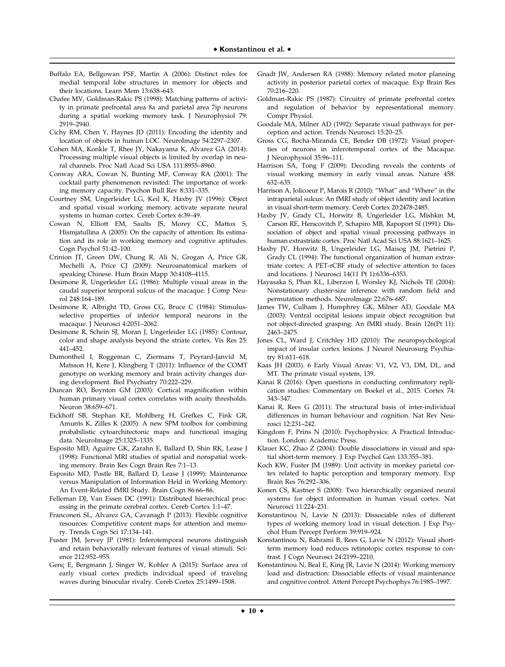- Buffalo EA, Bellgowan PSF, Martin A (2006): Distinct roles for medial temporal lobe structures in memory for objects and their locations. Learn Mem 13:638–643.
- Chafee MV, Goldman-Rakic PS (1998): Matching patterns of activity in primate prefrontal area 8a and parietal area 7ip neurons during a spatial working memory task. J Neurophysiol 79: 2919–2940.
- Cichy RM, Chen Y, Haynes JD (2011): Encoding the identity and location of objects in human LOC. NeuroImage 54:2297–2307.
- Cohen MA, Konkle T, Rhee JY, Nakayama K, Alvarez GA (2014): Processing multiple visual objects is limited by overlap in neural channels. Proc Natl Acad Sci USA 111:8955–8960.
- Conway ARA, Cowan N, Bunting MF, Conway RA (2001): The cocktail party phenomenon revisited: The importance of working memory capacity. Psychon Bull Rev 8:331–335.
- Courtney SM, Ungerleider LG, Keil K, Haxby JV (1996): Object and spatial visual working memory activate separate neural systems in human cortex. Cereb Cortex 6:39–49.
- Cowan N, Elliott EM, Saults JS, Morey CC, Mattox S, Hismjatullina A (2005): On the capacity of attention: Its estimation and its role in working memory and cognitive aptitudes. Cogn Psychol 51:42–100.
- Crinion JT, Green DW, Chung R, Ali N, Grogan A, Price GR, Mechelli A, Price CJ (2009): Neuroanatomical markers of speaking Chinese. Hum Brain Mapp 30:4108–4115.
- Desimone R, Ungerleider LG (1986): Multiple visual areas in the caudal superior temporal sulcus of the macaque. J Comp Neurol 248:164–189.
- Desimone R, Albright TD, Gross CG, Bruce C (1984): Stimulusselective properties of inferior temporal neurons in the macaque. J Neurosci 4:2051–2062.
- Desimone R, Schein SJ, Moran J, Ungerleider LG (1985): Contour, color and shape analysis beyond the striate cortex. Vis Res 25: 441–452.
- Dumontheil I, Roggeman C, Ziermans T, Peyrard-Janvid M, Matsson H, Kere J, Klingberg T (2011): Influence of the COMT genotype on working memory and brain activity changes during development. Biol Psychiatry 70:222–229.
- Duncan RO, Boynton GM (2003): Cortical magnification within human primary visual cortex correlates with acuity thresholds. Neuron 38:659–671.
- Eickhoff SB, Stephan KE, Mohlberg H, Grefkes C, Fink GR, Amunts K, Zilles K (2005): A new SPM toolbox for combining probabilistic cytoarchitectonic maps and functional imaging data. NeuroImage 25:1325–1335.
- Esposito MD, Aguirre GK, Zarahn E, Ballard D, Shin RK, Lease J (1998): Functional MRI studies of spatial and nonspatial working memory. Brain Res Cogn Brain Res 7:1–13.
- Esposito MD, Postle BR, Ballard D, Lease J (1999): Maintenance versus Manipulation of Information Held in Working Memory: An Event-Related fMRI Study. Brain Cogn 86:66–86.
- Felleman DJ, Van Essen DC (1991): Distributed hierarchical processing in the primate cerebral cortex. Cereb Cortex 1:1–47.
- Franconeri SL, Alvarez GA, Cavanagh P (2013): Flexible cognitive resources: Competitive content maps for attention and memory. Trends Cogn Sci 17:134–141.
- Fuster JM, Jervey JP (1981): Inferotemporal neurons distinguish and retain behaviorally relevant features of visual stimuli. Science 212:952–955.
- Genç E, Bergmann J, Singer W, Kohler A (2015): Surface area of early visual cortex predicts individual speed of traveling waves during binocular rivalry. Cereb Cortex 25:1499–1508.
- Gnadt JW, Andersen RA (1988): Memory related motor planning activity in posterior parietal cortex of macaque. Exp Brain Res 70:216–220.
- Goldman-Rakic PS (1987): Circuitry of primate prefrontal cortex and regulation of behavior by representational memory. Compr Physiol.
- Goodale MA, Milner AD (1992): Separate visual pathways for perception and action. Trends Neurosci 15:20–25.
- Gross CG, Rocha-Miranda CE, Bender DB (1972): Visual properties of neurons in inferotemporal cortex of the Macaque. J Neurophysiol 35:96–111.
- Harrison SA, Tong F (2009): Decoding reveals the contents of visual working memory in early visual areas. Nature 458: 632–635.
- Harrison A, Jolicoeur P, Marois R (2010): "What" and "Where" in the intraparietal sulcus: An fMRI study of object identity and location in visual short-term memory. Cereb Cortex [20:2478-2485](http://20:2478-2485).
- Haxby JV, Grady CL, Horwitz B, Ungerleider LG, Mishkin M, Carson RE, Herscovitch P, Schapiro MB, Rapoport SI (1991): Dissociation of object and spatial visual processing pathways in human extrastriate cortex. Proc Natl Acad Sci USA 88:1621–1625.
- Haxby JV, Horwitz B, Ungerleider LG, Maisog JM, Pietrini P, Grady CL (1994): The functional organization of human extrastriate cortex: A PET-rCBF study of selective attention to faces and locations. J Neurosci 14(11 Pt 1):6336–6353.
- Hayasaka S, Phan KL, Liberzon I, Worsley KJ, Nichols TE (2004): Nonstationary cluster-size inference with random field and permutation methods. NeuroImage 22:676–687.
- James TW, Culham J, Humphrey GK, Milner AD, Goodale MA (2003): Ventral occipital lesions impair object recognition but not object-directed grasping: An fMRI study. Brain 126(Pt 11): 2463–2475.
- Jones CL, Ward J, Critchley HD (2010): The neuropsychological impact of insular cortex lesions. J Neurol Neurosurg Psychiatry 81:611–618.
- Kaas JH (2003). 6 Early Visual Areas: V1, V2, V3, DM, DL, and MT. The primate visual system, 139.
- Kanai R (2016): Open questions in conducting confirmatory replication studies: Commentary on Boekel et al., 2015. Cortex 74: 343–347.
- Kanai R, Rees G (2011): The structural basis of inter-individual differences in human behaviour and cognition. Nat Rev Neurosci 12:231–242.
- Kingdom F, Prins N (2010): Psychophysics: A Practical Introduction. London: Academic Press.
- Klauer KC, Zhao Z (2004): Double dissociations in visual and spatial short-term memory. J Exp Psychol Gen 133:355–381.
- Koch KW, Fuster JM (1989): Unit activity in monkey parietal cortex related to haptic perception and temporary memory. Exp Brain Res 76:292–306.
- Konen CS, Kastner S (2008): Two hierarchically organized neural systems for object information in human visual cortex. Nat Neurosci 11:224–231.
- Konstantinou N, Lavie N (2013): Dissociable roles of different types of working memory load in visual detection. J Exp Psychol Hum Percept Perform 39:919–924.
- Konstantinou N, Bahrami B, Rees G, Lavie N (2012): Visual shortterm memory load reduces retinotopic cortex response to contrast. J Cogn Neurosci 24:2199–2210.
- Konstantinou N, Beal E, King JR, Lavie N (2014): Working memory load and distraction: Dissociable effects of visual maintenance and cognitive control. Attent Percept Psychophys 76:1985–1997.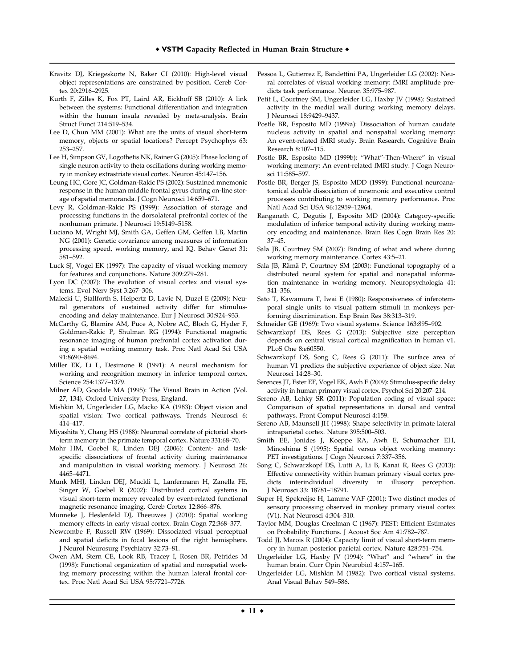- Kravitz DJ, Kriegeskorte N, Baker CI (2010): High-level visual object representations are constrained by position. Cereb Cortex 20:2916–2925.
- Kurth F, Zilles K, Fox PT, Laird AR, Eickhoff SB (2010): A link between the systems: Functional differentiation and integration within the human insula revealed by meta-analysis. Brain Struct Funct 214:519–534.
- Lee D, Chun MM (2001): What are the units of visual short-term memory, objects or spatial locations? Percept Psychophys 63: 253–257.
- Lee H, Simpson GV, Logothetis NK, Rainer G (2005): Phase locking of single neuron activity to theta oscillations during working memory in monkey extrastriate visual cortex. Neuron 45:147–156.
- Leung HC, Gore JC, Goldman-Rakic PS (2002): Sustained mnemonic response in the human middle frontal gyrus during on-line storage of spatial memoranda. J Cogn Neurosci 14:659–671.
- Levy R, Goldman-Rakic PS (1999): Association of storage and processing functions in the dorsolateral prefrontal cortex of the nonhuman primate. J Neurosci 19:5149–5158.
- Luciano M, Wright MJ, Smith GA, Geffen GM, Geffen LB, Martin NG (2001): Genetic covariance among measures of information processing speed, working memory, and IQ. Behav Genet 31: 581–592.
- Luck SJ, Vogel EK (1997): The capacity of visual working memory for features and conjunctions. Nature 309:279–281.
- Lyon DC (2007): The evolution of visual cortex and visual systems. Evol Nerv Syst 3:267–306.
- Malecki U, Stallforth S, Heipertz D, Lavie N, Duzel E (2009): Neural generators of sustained activity differ for stimulusencoding and delay maintenance. Eur J Neurosci 30:924–933.
- McCarthy G, Blamire AM, Puce A, Nobre AC, Bloch G, Hyder F, Goldman-Rakic P, Shulman RG (1994): Functional magnetic resonance imaging of human prefrontal cortex activation during a spatial working memory task. Proc Natl Acad Sci USA 91:8690–8694.
- Miller EK, Li L, Desimone R (1991): A neural mechanism for working and recognition memory in inferior temporal cortex. Science 254:1377–1379.
- Milner AD, Goodale MA (1995): The Visual Brain in Action (Vol. 27, 134). Oxford University Press, England.
- Mishkin M, Ungerleider LG, Macko KA (1983): Object vision and spatial vision: Two cortical pathways. Trends Neurosci 6: 414–417.
- Miyashita Y, Chang HS (1988): Neuronal correlate of pictorial shortterm memory in the primate temporal cortex. Nature 331:68–70.
- Mohr HM, Goebel R, Linden DEJ (2006): Content- and taskspecific dissociations of frontal activity during maintenance and manipulation in visual working memory. J Neurosci 26: 4465–4471.
- Munk MHJ, Linden DEJ, Muckli L, Lanfermann H, Zanella FE, Singer W, Goebel R (2002): Distributed cortical systems in visual short-term memory revealed by event-related functional magnetic resonance imaging. Cereb Cortex 12:866–876.
- Munneke J, Heslenfeld DJ, Theeuwes J (2010): Spatial working memory effects in early visual cortex. Brain Cogn 72:368–377.
- Newcombe F, Russell RW (1969): Dissociated visual perceptual and spatial deficits in focal lesions of the right hemisphere. J Neurol Neurosurg Psychiatry 32:73–81.
- Owen AM, Stern CE, Look RB, Tracey I, Rosen BR, Petrides M (1998): Functional organization of spatial and nonspatial working memory processing within the human lateral frontal cortex. Proc Natl Acad Sci USA 95:7721–7726.
- Pessoa L, Gutierrez E, Bandettini PA, Ungerleider LG (2002): Neural correlates of visual working memory: fMRI amplitude predicts task performance. Neuron 35:975–987.
- Petit L, Courtney SM, Ungerleider LG, Haxby JV (1998): Sustained activity in the medial wall during working memory delays. J Neurosci 18:9429–9437.
- Postle BR, Esposito MD (1999a): Dissociation of human caudate nucleus activity in spatial and nonspatial working memory: An event-related fMRI study. Brain Research. Cognitive Brain Research 8:107–115.
- Postle BR, Esposito MD (1999b): "What"-Then-Where" in visual working memory: An event-related fMRI study. J Cogn Neurosci 11:585–597.
- Postle BR, Berger JS, Esposito MDD (1999): Functional neuroanatomical double dissociation of mnemonic and executive control processes contributing to working memory performance. Proc Natl Acad Sci USA 96:12959–12964.
- Ranganath C, Degutis J, Esposito MD (2004): Category-specific modulation of inferior temporal activity during working memory encoding and maintenance. Brain Res Cogn Brain Res 20: 37–45.
- Sala JB, Courtney SM (2007): Binding of what and where during working memory maintenance. Cortex 43:5–21.
- Sala JB, Rämä P, Courtney SM (2003): Functional topography of a distributed neural system for spatial and nonspatial information maintenance in working memory. Neuropsychologia 41: 341–356.
- Sato T, Kawamura T, Iwai E (1980): Responsiveness of inferotemporal single units to visual pattern stimuli in monkeys performing discrimination. Exp Brain Res 38:313–319.
- Schneider GE (1969): Two visual systems. Science 163:895–902.
- Schwarzkopf DS, Rees G (2013): Subjective size perception depends on central visual cortical magnification in human v1. PLoS One 8:e60550.
- Schwarzkopf DS, Song C, Rees G (2011): The surface area of human V1 predicts the subjective experience of object size. Nat Neurosci 14:28–30.
- Serences JT, Ester EF, Vogel EK, Awh E (2009): Stimulus-specific delay activity in human primary visual cortex. Psychol Sci 20:207–214.
- Sereno AB, Lehky SR (2011): Population coding of visual space: Comparison of spatial representations in dorsal and ventral pathways. Front Comput Neurosci 4:159.
- Sereno AB, Maunsell JH (1998): Shape selectivity in primate lateral intraparietal cortex. Nature 395:500–503.
- Smith EE, Jonides J, Koeppe RA, Awh E, Schumacher EH, Minoshima S (1995): Spatial versus object working memory: PET investigations. J Cogn Neurosci 7:337–356.
- Song C, Schwarzkopf DS, Lutti A, Li B, Kanai R, Rees G (2013): Effective connectivity within human primary visual cortex predicts interindividual diversity in illusory perception. J Neurosci 33: 18781–18791.
- Super H, Spekreijse H, Lamme VAF (2001): Two distinct modes of sensory processing observed in monkey primary visual cortex (V1). Nat Neurosci 4:304–310.
- Taylor MM, Douglas Creelman C (1967): PEST: Efficient Estimates on Probability Functions. J Acoust Soc Am 41:782–787.
- Todd JJ, Marois R (2004): Capacity limit of visual short-term memory in human posterior parietal cortex. Nature 428:751–754.
- Ungerleider LG, Haxby JV (1994): "What" and "where" in the human brain. Curr Opin Neurobiol 4:157–165.
- Ungerleider LG, Mishkin M (1982): Two cortical visual systems. Anal Visual Behav 549–586.